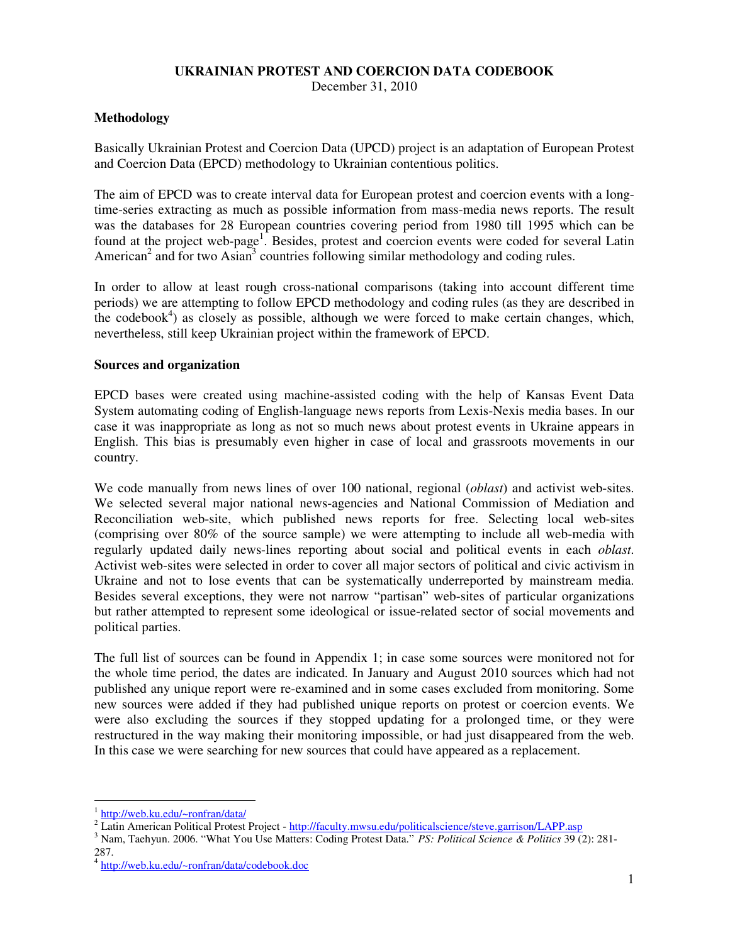### **UKRAINIAN PROTEST AND COERCION DATA CODEBOOK**

December 31, 2010

### **Methodology**

Basically Ukrainian Protest and Coercion Data (UPCD) project is an adaptation of European Protest and Coercion Data (EPCD) methodology to Ukrainian contentious politics.

The aim of EPCD was to create interval data for European protest and coercion events with a longtime-series extracting as much as possible information from mass-media news reports. The result was the databases for 28 European countries covering period from 1980 till 1995 which can be found at the project web-page<sup>1</sup>. Besides, protest and coercion events were coded for several Latin American<sup>2</sup> and for two Asian<sup>3</sup> countries following similar methodology and coding rules.

In order to allow at least rough cross-national comparisons (taking into account different time periods) we are attempting to follow EPCD methodology and coding rules (as they are described in the codebook<sup>4</sup>) as closely as possible, although we were forced to make certain changes, which, nevertheless, still keep Ukrainian project within the framework of EPCD.

#### **Sources and organization**

EPCD bases were created using machine-assisted coding with the help of Kansas Event Data System automating coding of English-language news reports from Lexis-Nexis media bases. In our case it was inappropriate as long as not so much news about protest events in Ukraine appears in English. This bias is presumably even higher in case of local and grassroots movements in our country.

We code manually from news lines of over 100 national, regional (*oblast*) and activist web-sites. We selected several major national news-agencies and National Commission of Mediation and Reconciliation web-site, which published news reports for free. Selecting local web-sites (comprising over 80% of the source sample) we were attempting to include all web-media with regularly updated daily news-lines reporting about social and political events in each *oblast*. Activist web-sites were selected in order to cover all major sectors of political and civic activism in Ukraine and not to lose events that can be systematically underreported by mainstream media. Besides several exceptions, they were not narrow "partisan" web-sites of particular organizations but rather attempted to represent some ideological or issue-related sector of social movements and political parties.

The full list of sources can be found in Appendix 1; in case some sources were monitored not for the whole time period, the dates are indicated. In January and August 2010 sources which had not published any unique report were re-examined and in some cases excluded from monitoring. Some new sources were added if they had published unique reports on protest or coercion events. We were also excluding the sources if they stopped updating for a prolonged time, or they were restructured in the way making their monitoring impossible, or had just disappeared from the web. In this case we were searching for new sources that could have appeared as a replacement.

 $\overline{a}$ 

<sup>&</sup>lt;sup>1</sup> http://web.ku.edu/~ronfran/data/

<sup>&</sup>lt;sup>2</sup> Latin American Political Protest Project - http://faculty.mwsu.edu/politicalscience/steve.garrison/LAPP.asp

<sup>3</sup> Nam, Taehyun. 2006. "What You Use Matters: Coding Protest Data." *PS: Political Science & Politics* 39 (2): 281- 287.

<sup>4</sup> http://web.ku.edu/~ronfran/data/codebook.doc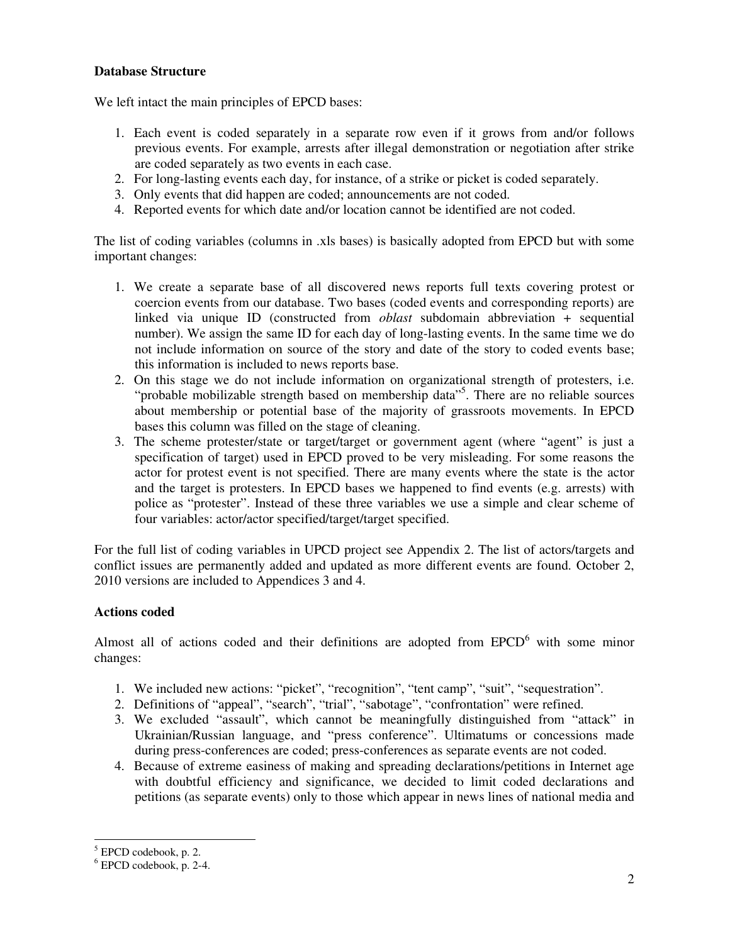### **Database Structure**

We left intact the main principles of EPCD bases:

- 1. Each event is coded separately in a separate row even if it grows from and/or follows previous events. For example, arrests after illegal demonstration or negotiation after strike are coded separately as two events in each case.
- 2. For long-lasting events each day, for instance, of a strike or picket is coded separately.
- 3. Only events that did happen are coded; announcements are not coded.
- 4. Reported events for which date and/or location cannot be identified are not coded.

The list of coding variables (columns in .xls bases) is basically adopted from EPCD but with some important changes:

- 1. We create a separate base of all discovered news reports full texts covering protest or coercion events from our database. Two bases (coded events and corresponding reports) are linked via unique ID (constructed from *oblast* subdomain abbreviation + sequential number). We assign the same ID for each day of long-lasting events. In the same time we do not include information on source of the story and date of the story to coded events base; this information is included to news reports base.
- 2. On this stage we do not include information on organizational strength of protesters, i.e. "probable mobilizable strength based on membership data"<sup>5</sup>. There are no reliable sources about membership or potential base of the majority of grassroots movements. In EPCD bases this column was filled on the stage of cleaning.
- 3. The scheme protester/state or target/target or government agent (where "agent" is just a specification of target) used in EPCD proved to be very misleading. For some reasons the actor for protest event is not specified. There are many events where the state is the actor and the target is protesters. In EPCD bases we happened to find events (e.g. arrests) with police as "protester". Instead of these three variables we use a simple and clear scheme of four variables: actor/actor specified/target/target specified.

For the full list of coding variables in UPCD project see Appendix 2. The list of actors/targets and conflict issues are permanently added and updated as more different events are found. October 2, 2010 versions are included to Appendices 3 and 4.

# **Actions coded**

Almost all of actions coded and their definitions are adopted from  $EPCD<sup>6</sup>$  with some minor changes:

- 1. We included new actions: "picket", "recognition", "tent camp", "suit", "sequestration".
- 2. Definitions of "appeal", "search", "trial", "sabotage", "confrontation" were refined.
- 3. We excluded "assault", which cannot be meaningfully distinguished from "attack" in Ukrainian/Russian language, and "press conference". Ultimatums or concessions made during press-conferences are coded; press-conferences as separate events are not coded.
- 4. Because of extreme easiness of making and spreading declarations/petitions in Internet age with doubtful efficiency and significance, we decided to limit coded declarations and petitions (as separate events) only to those which appear in news lines of national media and

 $\overline{a}$ 

<sup>5</sup> EPCD codebook, p. 2.

<sup>6</sup> EPCD codebook, p. 2-4.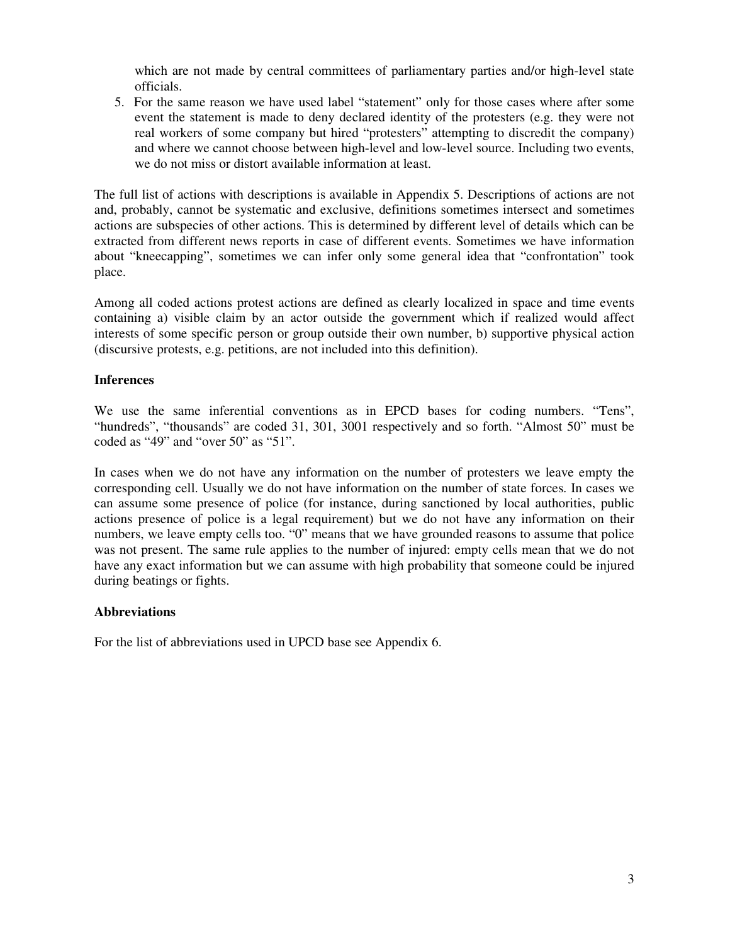which are not made by central committees of parliamentary parties and/or high-level state officials.

5. For the same reason we have used label "statement" only for those cases where after some event the statement is made to deny declared identity of the protesters (e.g. they were not real workers of some company but hired "protesters" attempting to discredit the company) and where we cannot choose between high-level and low-level source. Including two events, we do not miss or distort available information at least.

The full list of actions with descriptions is available in Appendix 5. Descriptions of actions are not and, probably, cannot be systematic and exclusive, definitions sometimes intersect and sometimes actions are subspecies of other actions. This is determined by different level of details which can be extracted from different news reports in case of different events. Sometimes we have information about "kneecapping", sometimes we can infer only some general idea that "confrontation" took place.

Among all coded actions protest actions are defined as clearly localized in space and time events containing a) visible claim by an actor outside the government which if realized would affect interests of some specific person or group outside their own number, b) supportive physical action (discursive protests, e.g. petitions, are not included into this definition).

### **Inferences**

We use the same inferential conventions as in EPCD bases for coding numbers. "Tens", "hundreds", "thousands" are coded 31, 301, 3001 respectively and so forth. "Almost 50" must be coded as "49" and "over 50" as "51".

In cases when we do not have any information on the number of protesters we leave empty the corresponding cell. Usually we do not have information on the number of state forces. In cases we can assume some presence of police (for instance, during sanctioned by local authorities, public actions presence of police is a legal requirement) but we do not have any information on their numbers, we leave empty cells too. "0" means that we have grounded reasons to assume that police was not present. The same rule applies to the number of injured: empty cells mean that we do not have any exact information but we can assume with high probability that someone could be injured during beatings or fights.

### **Abbreviations**

For the list of abbreviations used in UPCD base see Appendix 6.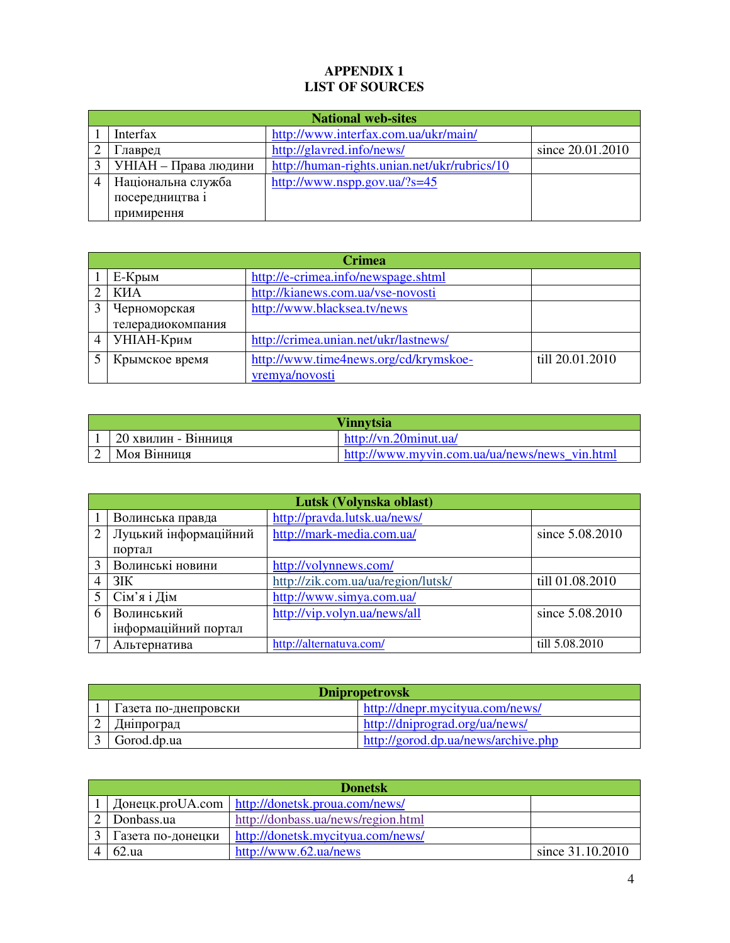# **APPENDIX 1 LIST OF SOURCES**

| <b>National web-sites</b> |                                              |                  |
|---------------------------|----------------------------------------------|------------------|
| Interfax                  | http://www.interfax.com.ua/ukr/main/         |                  |
| лавред                    | http://glavred.info/news/                    | since 20.01.2010 |
| УНІАН – Права людини      | http://human-rights.unian.net/ukr/rubrics/10 |                  |
| Національна служба        | http://www.nspp.gov.ua/?s=45                 |                  |
| посередництва і           |                                              |                  |
| примирення                |                                              |                  |

| <b>Crimea</b>     |                                       |                 |  |
|-------------------|---------------------------------------|-----------------|--|
| Е-Крым            | http://e-crimea.info/newspage.shtml   |                 |  |
| КИА               | http://kianews.com.ua/vse-novosti     |                 |  |
| Черноморская      | http://www.blacksea.tv/news           |                 |  |
| телерадиокомпания |                                       |                 |  |
| УНІАН-Крим        | http://crimea.unian.net/ukr/lastnews/ |                 |  |
| Крымское время    | http://www.time4news.org/cd/krymskoe- | till 20.01.2010 |  |
|                   | vremya/novosti                        |                 |  |

|                     | <b>Vinnytsia</b>                              |
|---------------------|-----------------------------------------------|
| 20 хвилин - Вінниця | http://vn.20minut.ua/                         |
| Моя Вінниця         | http://www.myvin.com.ua/ua/news/news vin.html |

|                         | Lutsk (Volynska oblast) |                                    |                 |
|-------------------------|-------------------------|------------------------------------|-----------------|
|                         | Волинська правда        | http://pravda.lutsk.ua/news/       |                 |
| $\overline{2}$          | Луцький інформаційний   | http://mark-media.com.ua/          | since 5.08.2010 |
|                         | портал                  |                                    |                 |
| 3                       | Волинські новини        | http://volynnews.com/              |                 |
|                         | 3IK                     | http://zik.com.ua/ua/region/lutsk/ | till 01.08.2010 |
| $\overline{\mathbf{5}}$ | Сім'я і Дім             | http://www.simya.com.ua/           |                 |
| 6                       | Волинський              | http://vip.volyn.ua/news/all       | since 5.08.2010 |
|                         | інформаційний портал    |                                    |                 |
|                         | Альтернатива            | http://alternatuva.com/            | till 5.08.2010  |

| <b>Dnipropetrovsk</b> |                                     |  |
|-----------------------|-------------------------------------|--|
| 1 азета по-днепровски | http://dnepr.mycityua.com/news/     |  |
| Дніпроград            | http://dniprograd.org/ua/news/      |  |
| Gorod.dp.ua           | http://gorod.dp.ua/news/archive.php |  |

| <b>Donetsk</b>    |                                                   |                  |
|-------------------|---------------------------------------------------|------------------|
|                   | Донецк.proUA.com   http://donetsk.proua.com/news/ |                  |
| Donbass.ua        | http://donbass.ua/news/region.html                |                  |
| Газета по-донецки | http://donetsk.mycityua.com/news/                 |                  |
| 62.ua             | http://www.62.ua/news                             | since 31.10.2010 |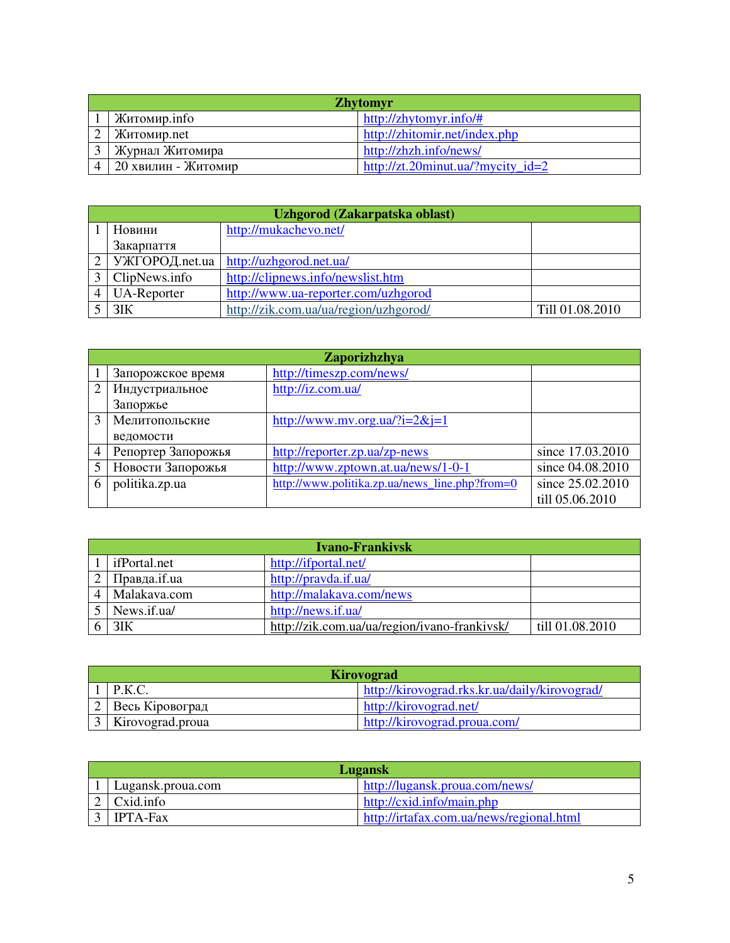| <b>Zhytomyr</b>     |                                   |  |
|---------------------|-----------------------------------|--|
| Житомир.info        | http://zhytomyr.info/#            |  |
| Житомир.net         | http://zhitomir.net/index.php     |  |
| Журнал Житомира     | http://zhzh.info/news/            |  |
| 20 хвилин - Житомир | http://zt.20minut.ua/?mycity id=2 |  |

| Uzhgorod (Zakarpatska oblast) |                                       |                 |
|-------------------------------|---------------------------------------|-----------------|
| Новини                        | http://mukachevo.net/                 |                 |
| Закарпаття                    |                                       |                 |
| $\vert$ УЖГОРОД.net.ua        | http://uzhgorod.net.ua/               |                 |
| ClipNews.info                 | http://clipnews.info/newslist.htm     |                 |
| UA-Reporter                   | http://www.ua-reporter.com/uzhgorod   |                 |
| 3IK                           | http://zik.com.ua/ua/region/uzhgorod/ | Till 01.08.2010 |

|   |                    | Zaporizhzhya                                   |                  |
|---|--------------------|------------------------------------------------|------------------|
|   | Запорожское время  | http://timeszp.com/news/                       |                  |
|   | Индустриальное     | http://iz.com.ua/                              |                  |
|   | Запоржье           |                                                |                  |
|   | Мелитопольские     | http://www.mv.org.ua/?i= $2&i=1$               |                  |
|   | ведомости          |                                                |                  |
| 4 | Репортер Запорожья | http://reporter.zp.ua/zp-news                  | since 17.03.2010 |
|   | Новости Запорожья  | http://www.zptown.at.ua/news/1-0-1             | since 04.08.2010 |
| 6 | politika.zp.ua     | http://www.politika.zp.ua/news_line.php?from=0 | since 25.02.2010 |
|   |                    |                                                | till 05.06.2010  |

| <b>Ivano-Frankivsk</b> |                                              |                 |
|------------------------|----------------------------------------------|-----------------|
| ifPortal.net           | http://ifportal.net/                         |                 |
| Правда.if.ua           | http://pravda.if.ua/                         |                 |
| Malakava.com           | http://malakava.com/news                     |                 |
| News.if.ua/            | http://news.if.ua/                           |                 |
| $3$ IK                 | http://zik.com.ua/ua/region/ivano-frankivsk/ | till 01.08.2010 |

| Kirovograd        |                                               |  |
|-------------------|-----------------------------------------------|--|
| P.K.C.            | http://kirovograd.rks.kr.ua/daily/kirovograd/ |  |
| . Весь Кіровоград | http://kirovograd.net/                        |  |
| Kirovograd.proua  | http://kirovograd.proua.com/                  |  |

| Lugansk           |                                          |  |
|-------------------|------------------------------------------|--|
| Lugansk.proua.com | http://lugansk.proua.com/news/           |  |
| Cxid.info         | http://cxid.info/main.php                |  |
| <b>IPTA-Fax</b>   | http://irtafax.com.ua/news/regional.html |  |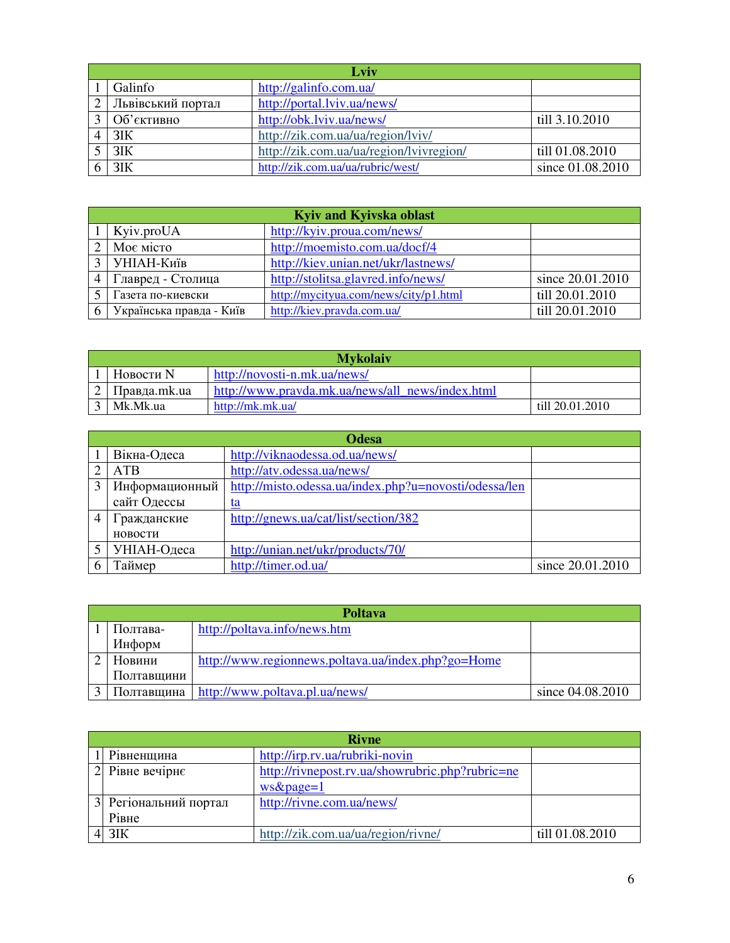| Lviv              |                                         |                  |  |
|-------------------|-----------------------------------------|------------------|--|
| Galinfo           | http://galinfo.com.ua/                  |                  |  |
| Львівський портал | http://portal.lviv.ua/news/             |                  |  |
| Об'єктивно        | http://obk.lviv.ua/news/                | till 3.10.2010   |  |
| 3IK               | http://zik.com.ua/ua/region/lviv/       |                  |  |
| $3$ IK            | http://zik.com.ua/ua/region/lvivregion/ | till 01.08.2010  |  |
| 3IK               | http://zik.com.ua/ua/rubric/west/       | since 01.08.2010 |  |

| Kyiv and Kyivska oblast  |                                       |                  |  |
|--------------------------|---------------------------------------|------------------|--|
| Kyiv.proUA               | http://kyiv.proua.com/news/           |                  |  |
| Моє місто                | http://moemisto.com.ua/docf/4         |                  |  |
| │ УНІАН-Київ             | http://kiev.unian.net/ukr/lastnews/   |                  |  |
| Главред - Столица        | http://stolitsa.glavred.info/news/    | since 20.01.2010 |  |
| Газета по-киевски        | http://mycityua.com/news/city/p1.html | till 20.01.2010  |  |
| Українська правда - Київ | http://kiev.pravda.com.ua/            | till 20.01.2010  |  |

| <b>Mykolaiv</b> |                                                  |                 |  |  |
|-----------------|--------------------------------------------------|-----------------|--|--|
| Новости N       | http://novosti-n.mk.ua/news/                     |                 |  |  |
| Правда.mk.ua    | http://www.pravda.mk.ua/news/all_news/index.html |                 |  |  |
| Mk.Mk.ua        | http://mk.mk.ua/                                 | till 20.01.2010 |  |  |

|   | <b>Odesa</b>   |                                                       |                  |  |
|---|----------------|-------------------------------------------------------|------------------|--|
|   | Вікна-Одеса    | http://viknaodessa.od.ua/news/                        |                  |  |
|   | <b>ATB</b>     | http://atv.odessa.ua/news/                            |                  |  |
|   | Информационный | http://misto.odessa.ua/index.php?u=novosti/odessa/len |                  |  |
|   | сайт Одессы    | <u>ta</u>                                             |                  |  |
| 4 | Гражданские    | http://gnews.ua/cat/list/section/382                  |                  |  |
|   | новости        |                                                       |                  |  |
|   | УНІАН-Одеса    | http://unian.net/ukr/products/70/                     |                  |  |
|   | Гаймер         | http://timer.od.ua/                                   | since 20.01.2010 |  |

| <b>Poltava</b> |                                                    |                  |  |
|----------------|----------------------------------------------------|------------------|--|
| Полтава-       | http://poltava.info/news.htm                       |                  |  |
| Информ         |                                                    |                  |  |
| Новини         | http://www.regionnews.poltava.ua/index.php?go=Home |                  |  |
| Полтавщини     |                                                    |                  |  |
| Полтавщина     | http://www.poltava.pl.ua/news/                     | since 04.08.2010 |  |

|                | <b>Rivne</b>          |                                                 |                 |  |
|----------------|-----------------------|-------------------------------------------------|-----------------|--|
|                | Рівненщина            | http://irp.rv.ua/rubriki-novin                  |                 |  |
| $\overline{2}$ | Рівне вечірнє         | http://rivnepost.rv.ua/showrubric.php?rubric=ne |                 |  |
|                |                       | $ws\&page=1$                                    |                 |  |
|                | 3 Регіональний портал | http://rivne.com.ua/news/                       |                 |  |
|                | Рівне                 |                                                 |                 |  |
|                | $4$ 3IK               | http://zik.com.ua/ua/region/rivne/              | till 01.08.2010 |  |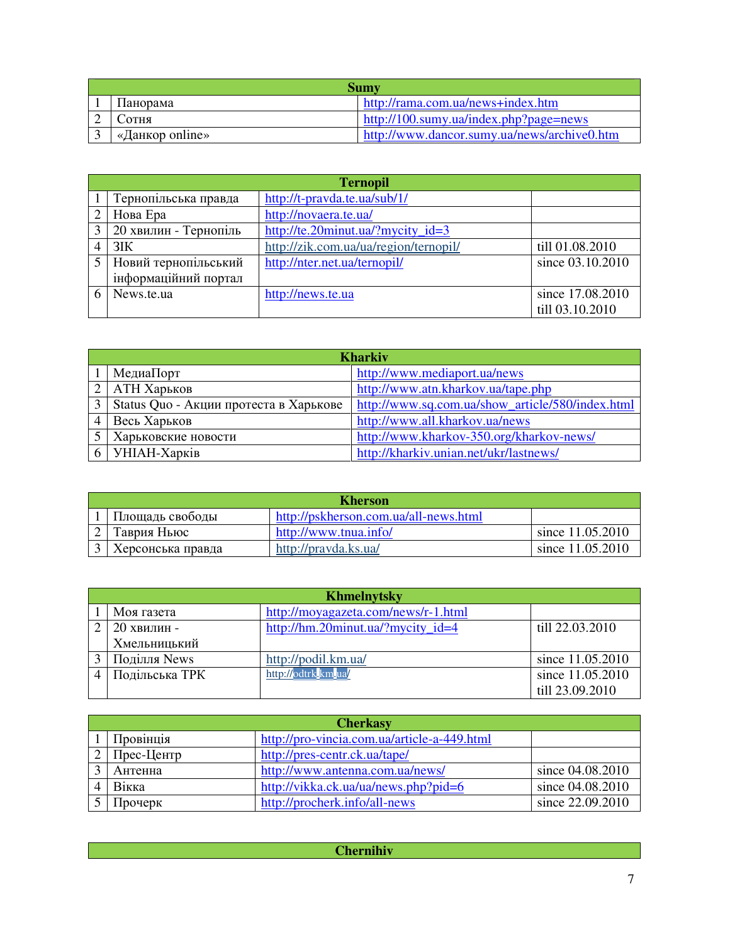| <b>Sumy</b>     |                                             |  |  |
|-----------------|---------------------------------------------|--|--|
| Панорама        | http://rama.com.ua/news+index.htm           |  |  |
| <b>СОТНЯ</b>    | $http://100.sumy.ua/index.php?page=news$    |  |  |
| «Данкор online» | http://www.dancor.sumy.ua/news/archive0.htm |  |  |

| <b>Ternopil</b>       |                                       |                  |  |
|-----------------------|---------------------------------------|------------------|--|
| Тернопільська правда  | http://t-pravda.te.ua/sub/1/          |                  |  |
| Нова Ера              | http://novaera.te.ua/                 |                  |  |
| 20 хвилин - Тернопіль | http://te.20minut.ua/?mycity_id=3     |                  |  |
| 3IK                   | http://zik.com.ua/ua/region/ternopil/ | till 01.08.2010  |  |
| Новий тернопільський  | http://nter.net.ua/ternopil/          | since 03.10.2010 |  |
| інформаційний портал  |                                       |                  |  |
| News.te.ua            | http://news.te.ua                     | since 17.08.2010 |  |
|                       |                                       | till 03.10.2010  |  |

| <b>Kharkiv</b>                         |                                                  |  |  |
|----------------------------------------|--------------------------------------------------|--|--|
| МедиаПорт                              | http://www.mediaport.ua/news                     |  |  |
| АТН Харьков                            | http://www.atn.kharkov.ua/tape.php               |  |  |
| Status Quo - Акции протеста в Харькове | http://www.sq.com.ua/show_article/580/index.html |  |  |
| Весь Харьков                           | http://www.all.kharkov.ua/news                   |  |  |
| Харьковские новости                    | http://www.kharkov-350.org/kharkov-news/         |  |  |
| УНІАН-Харків                           | http://kharkiv.unian.net/ukr/lastnews/           |  |  |

| <b>Kherson</b>    |                                       |                  |  |
|-------------------|---------------------------------------|------------------|--|
| Площадь свободы   | http://pskherson.com.ua/all-news.html |                  |  |
| Таврия Ньюс       | http://www.tnua.info/                 | since 11.05.2010 |  |
| Херсонська правда | http://pravda.ks.ua/                  | since 11.05.2010 |  |

| <b>Khmelnytsky</b> |                                     |                  |  |
|--------------------|-------------------------------------|------------------|--|
| Моя газета         | http://moyagazeta.com/news/r-1.html |                  |  |
| 20 хвилин -        | http://hm.20minut.ua/?mycity_id=4   | till 22.03.2010  |  |
| Хмельницький       |                                     |                  |  |
| Поділля News       | http://podil.km.ua/                 | since 11.05.2010 |  |
| Подільська ТРК     | http://odtrk.km.ua/                 | since 11.05.2010 |  |
|                    |                                     | till 23.09.2010  |  |

| <b>Cherkasy</b> |                                             |                  |  |
|-----------------|---------------------------------------------|------------------|--|
| Провінція       | http://pro-vincia.com.ua/article-a-449.html |                  |  |
| Прес-Центр      | http://pres-centr.ck.ua/tape/               |                  |  |
| Антенна         | http://www.antenna.com.ua/news/             | since 04.08.2010 |  |
| Вікка           | http://vikka.ck.ua/ua/news.php?pid=6        | since 04.08.2010 |  |
| Прочерк         | http://procherk.info/all-news               | since 22.09.2010 |  |

| $\sim$<br>----------- |
|-----------------------|
|                       |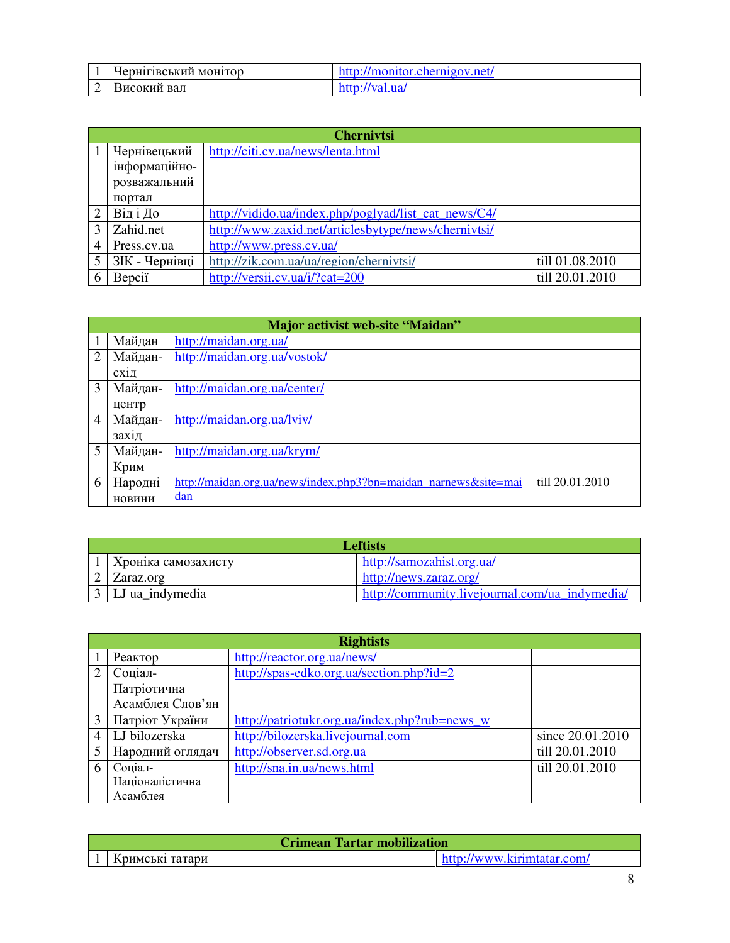| -4<br><b>.</b> | . .<br><b>ПВСЬКИЙ</b><br>MOHITOD<br>MOH1<br>. .<br>Tr. | net |
|----------------|--------------------------------------------------------|-----|
| ⌒<br>-         | вал<br>окий<br>ഫ⇔                                      |     |

|   | <b>Chernivtsi</b> |                                                      |                 |  |  |  |
|---|-------------------|------------------------------------------------------|-----------------|--|--|--|
|   | Чернівецький      | http://citi.cv.ua/news/lenta.html                    |                 |  |  |  |
|   | інформаційно-     |                                                      |                 |  |  |  |
|   | розважальний      |                                                      |                 |  |  |  |
|   | портал            |                                                      |                 |  |  |  |
|   | Від і До          | http://vidido.ua/index.php/poglyad/list_cat_news/C4/ |                 |  |  |  |
|   | Zahid.net         | http://www.zaxid.net/articlesbytype/news/chernivtsi/ |                 |  |  |  |
| 4 | Press.cv.ua       | http://www.press.cv.ua/                              |                 |  |  |  |
| 5 | ЗІК - Чернівці    | http://zik.com.ua/ua/region/chernivtsi/              | till 01.08.2010 |  |  |  |
| 6 | Bepciï            | http://versii.cv.ua/i/?cat=200                       | till 20.01.2010 |  |  |  |

|                | <b>Major activist web-site "Maidan"</b> |                                                                 |                 |  |  |  |
|----------------|-----------------------------------------|-----------------------------------------------------------------|-----------------|--|--|--|
|                | Майдан                                  | http://maidan.org.ua/                                           |                 |  |  |  |
| $\overline{2}$ | Майдан-                                 | http://maidan.org.ua/vostok/                                    |                 |  |  |  |
|                | СХ1Д                                    |                                                                 |                 |  |  |  |
| $\mathcal{F}$  | Майдан-                                 | http://maidan.org.ua/center/                                    |                 |  |  |  |
|                | центр                                   |                                                                 |                 |  |  |  |
| 4              | Майдан-                                 | http://maidan.org.ua/lviv/                                      |                 |  |  |  |
|                | захід                                   |                                                                 |                 |  |  |  |
| $\overline{5}$ | Майдан-                                 | http://maidan.org.ua/krym/                                      |                 |  |  |  |
|                | Крим                                    |                                                                 |                 |  |  |  |
| 6              | Народні                                 | http://maidan.org.ua/news/index.php3?bn=maidan_narnews&site=mai | till 20.01.2010 |  |  |  |
|                | новини                                  | dan                                                             |                 |  |  |  |

| <b>Leftists</b>     |                                                |  |  |  |
|---------------------|------------------------------------------------|--|--|--|
| Кроніка самозахисту | http://samozahist.org.ua/                      |  |  |  |
| Zaraz.org           | http://news.zaraz.org/                         |  |  |  |
| 3   LJ ua_indymedia | http://community.livejournal.com/ua_indymedia/ |  |  |  |

|   | <b>Rightists</b> |                                               |                  |  |  |  |
|---|------------------|-----------------------------------------------|------------------|--|--|--|
|   | Реактор          | http://reactor.org.ua/news/                   |                  |  |  |  |
|   | Соціал-          | http://spas-edko.org.ua/section.php?id=2      |                  |  |  |  |
|   | Патріотична      |                                               |                  |  |  |  |
|   | Асамблея Слов'ян |                                               |                  |  |  |  |
|   | Патріот України  | http://patriotukr.org.ua/index.php?rub=news_w |                  |  |  |  |
|   | LJ bilozerska    | http://bilozerska.livejournal.com             | since 20.01.2010 |  |  |  |
|   | Народний оглядач | http://observer.sd.org.ua                     | till 20.01.2010  |  |  |  |
| 6 | Соціал-          | http://sna.in.ua/news.html                    | till 20.01.2010  |  |  |  |
|   | Націоналістична  |                                               |                  |  |  |  |
|   | Асамблея         |                                               |                  |  |  |  |

| <b>Crimean Tartar mobilization</b> |  |                            |
|------------------------------------|--|----------------------------|
| Кримські татари                    |  | http://www.kirimtatar.com/ |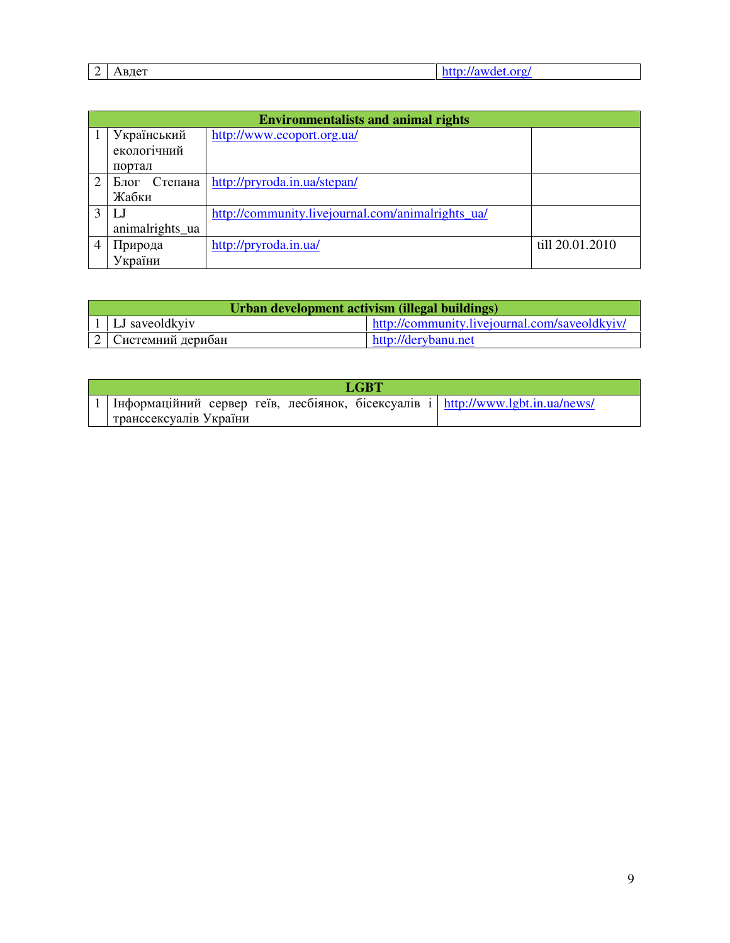| $\overline{\phantom{0}}$ | $  -$<br>Авдет<br>. | -- |
|--------------------------|---------------------|----|
|                          |                     |    |

|                | <b>Environmentalists and animal rights</b> |                                                   |                 |  |  |  |  |
|----------------|--------------------------------------------|---------------------------------------------------|-----------------|--|--|--|--|
|                | Український                                | http://www.ecoport.org.ua/                        |                 |  |  |  |  |
|                | екологічний                                |                                                   |                 |  |  |  |  |
|                | портал                                     |                                                   |                 |  |  |  |  |
| $\overline{2}$ | Блог<br>Степана                            | http://pryroda.in.ua/stepan/                      |                 |  |  |  |  |
|                | Жабки                                      |                                                   |                 |  |  |  |  |
|                |                                            | http://community.livejournal.com/animalrights_ua/ |                 |  |  |  |  |
|                | animalrights_ua                            |                                                   |                 |  |  |  |  |
|                | Природа                                    | http://pryroda.in.ua/                             | till 20.01.2010 |  |  |  |  |
|                | України                                    |                                                   |                 |  |  |  |  |

| Urban development activism (illegal buildings) |                                               |  |  |  |  |
|------------------------------------------------|-----------------------------------------------|--|--|--|--|
| $\vert$ 1   LJ saveoldkyiv                     | http://community.livejournal.com/saveoldkyiv/ |  |  |  |  |
| 2 Системний дерибан                            | http://derybanu.net                           |  |  |  |  |

|                        |  | <b>LGBT</b> |                                                                                         |
|------------------------|--|-------------|-----------------------------------------------------------------------------------------|
|                        |  |             | $\vert$ Iнформаційний сервер геїв, лесбіянок, бісексуалів і http://www.lgbt.in.ua/news/ |
| транссексуалів України |  |             |                                                                                         |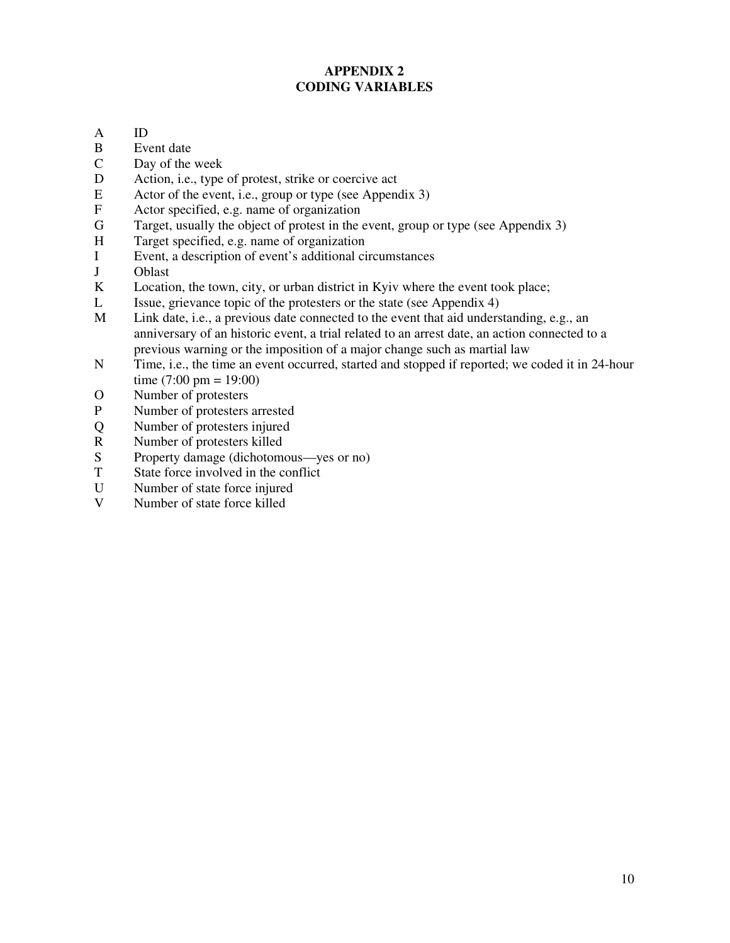# **APPENDIX 2 CODING VARIABLES**

- A ID
- B Event date
- C Day of the week
- D Action, i.e., type of protest, strike or coercive act
- E Actor of the event, i.e., group or type (see Appendix 3)<br>F Actor specified, e.g. name of organization
- F Actor specified, e.g. name of organization<br>G Target, usually the object of protest in the
- Target, usually the object of protest in the event, group or type (see Appendix 3)
- H Target specified, e.g. name of organization
- I Event, a description of event's additional circumstances
- J Oblast
- K Location, the town, city, or urban district in Kyiv where the event took place;
- L Issue, grievance topic of the protesters or the state (see Appendix 4)
- M Link date, i.e., a previous date connected to the event that aid understanding, e.g., an anniversary of an historic event, a trial related to an arrest date, an action connected to a previous warning or the imposition of a major change such as martial law
- N Time, i.e., the time an event occurred, started and stopped if reported; we coded it in 24-hour time  $(7:00 \text{ pm} = 19:00)$
- O Number of protesters
- P Number of protesters arrested
- Q Number of protesters injured
- R Number of protesters killed
- S Property damage (dichotomous—yes or no)<br>T State force involved in the conflict
- T State force involved in the conflict<br>U Number of state force injured
- Number of state force injured
- V Number of state force killed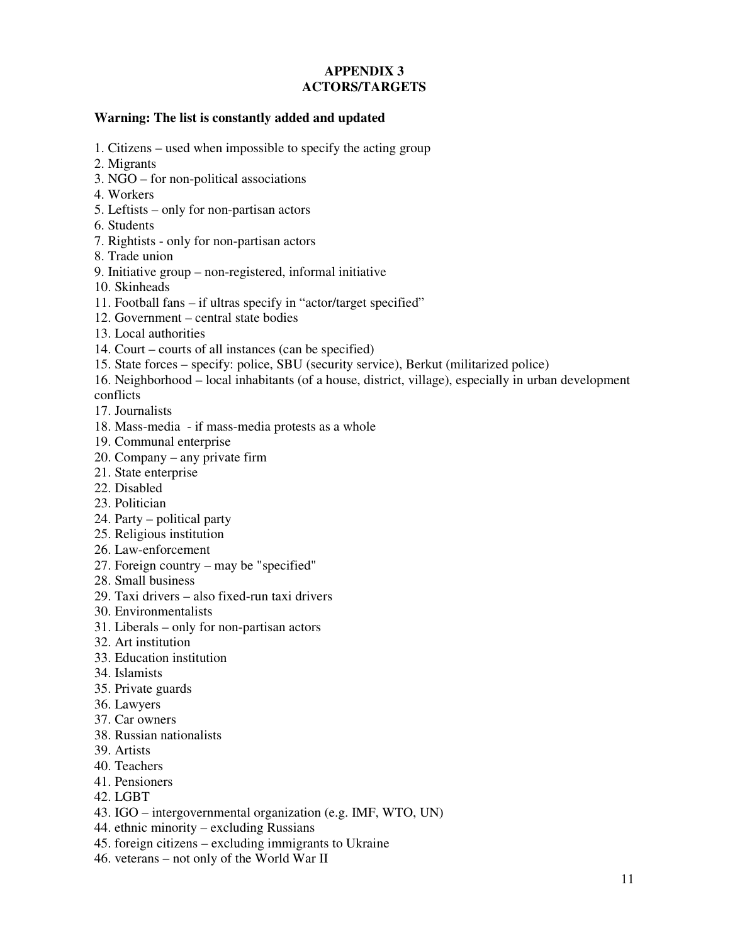### **APPENDIX 3 ACTORS/TARGETS**

#### **Warning: The list is constantly added and updated**

- 1. Citizens used when impossible to specify the acting group
- 2. Migrants
- 3. NGO for non-political associations
- 4. Workers
- 5. Leftists only for non-partisan actors
- 6. Students
- 7. Rightists only for non-partisan actors
- 8. Trade union
- 9. Initiative group non-registered, informal initiative
- 10. Skinheads
- 11. Football fans if ultras specify in "actor/target specified"
- 12. Government central state bodies
- 13. Local authorities
- 14. Court courts of all instances (can be specified)
- 15. State forces specify: police, SBU (security service), Berkut (militarized police)
- 16. Neighborhood local inhabitants (of a house, district, village), especially in urban development conflicts
- 17. Journalists
- 18. Mass-media if mass-media protests as a whole
- 19. Communal enterprise
- 20. Company any private firm
- 21. State enterprise
- 22. Disabled
- 23. Politician
- 24. Party political party
- 25. Religious institution
- 26. Law-enforcement
- 27. Foreign country may be "specified"
- 28. Small business
- 29. Taxi drivers also fixed-run taxi drivers
- 30. Environmentalists
- 31. Liberals only for non-partisan actors
- 32. Art institution
- 33. Education institution
- 34. Islamists
- 35. Private guards
- 36. Lawyers
- 37. Car owners
- 38. Russian nationalists
- 39. Artists
- 40. Teachers
- 41. Pensioners
- 42. LGBT
- 43. IGO intergovernmental organization (e.g. IMF, WTO, UN)
- 44. ethnic minority excluding Russians
- 45. foreign citizens excluding immigrants to Ukraine
- 46. veterans not only of the World War II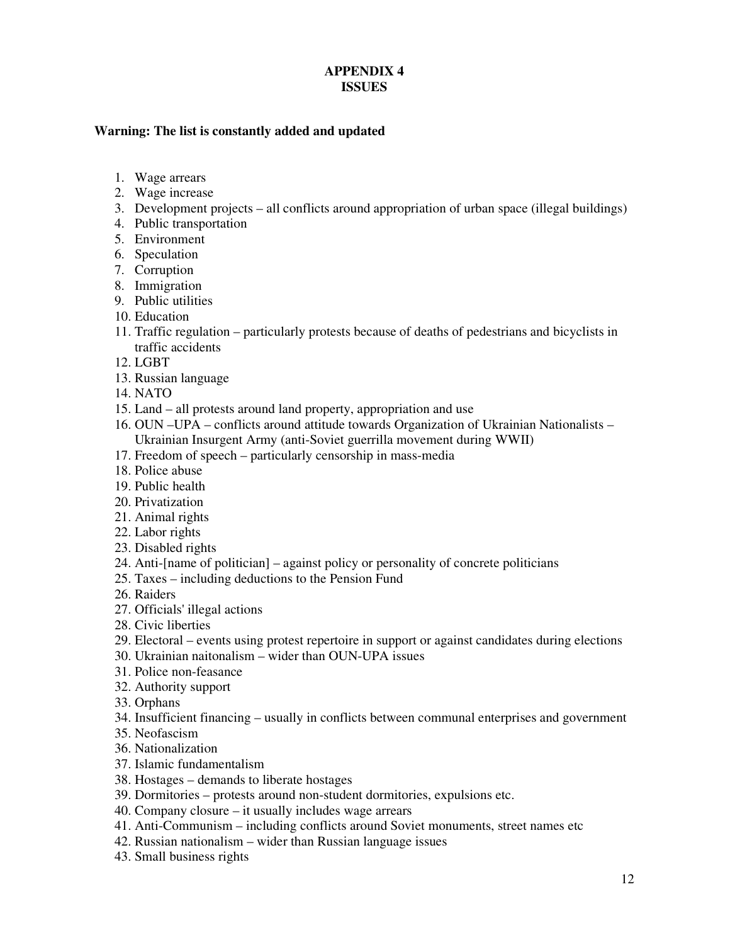### **APPENDIX 4 ISSUES**

### **Warning: The list is constantly added and updated**

- 1. Wage arrears
- 2. Wage increase
- 3. Development projects all conflicts around appropriation of urban space (illegal buildings)
- 4. Public transportation
- 5. Environment
- 6. Speculation
- 7. Corruption
- 8. Immigration
- 9. Public utilities
- 10. Education
- 11. Traffic regulation particularly protests because of deaths of pedestrians and bicyclists in traffic accidents
- 12. LGBT
- 13. Russian language
- 14. NATO
- 15. Land all protests around land property, appropriation and use
- 16. OUN –UPA conflicts around attitude towards Organization of Ukrainian Nationalists Ukrainian Insurgent Army (anti-Soviet guerrilla movement during WWII)
- 17. Freedom of speech particularly censorship in mass-media
- 18. Police abuse
- 19. Public health
- 20. Privatization
- 21. Animal rights
- 22. Labor rights
- 23. Disabled rights
- 24. Anti-[name of politician] against policy or personality of concrete politicians
- 25. Taxes including deductions to the Pension Fund
- 26. Raiders
- 27. Officials' illegal actions
- 28. Civic liberties
- 29. Electoral events using protest repertoire in support or against candidates during elections
- 30. Ukrainian naitonalism wider than OUN-UPA issues
- 31. Police non-feasance
- 32. Authority support
- 33. Orphans
- 34. Insufficient financing usually in conflicts between communal enterprises and government
- 35. Neofascism
- 36. Nationalization
- 37. Islamic fundamentalism
- 38. Hostages demands to liberate hostages
- 39. Dormitories protests around non-student dormitories, expulsions etc.
- 40. Company closure it usually includes wage arrears
- 41. Anti-Communism including conflicts around Soviet monuments, street names etc
- 42. Russian nationalism wider than Russian language issues
- 43. Small business rights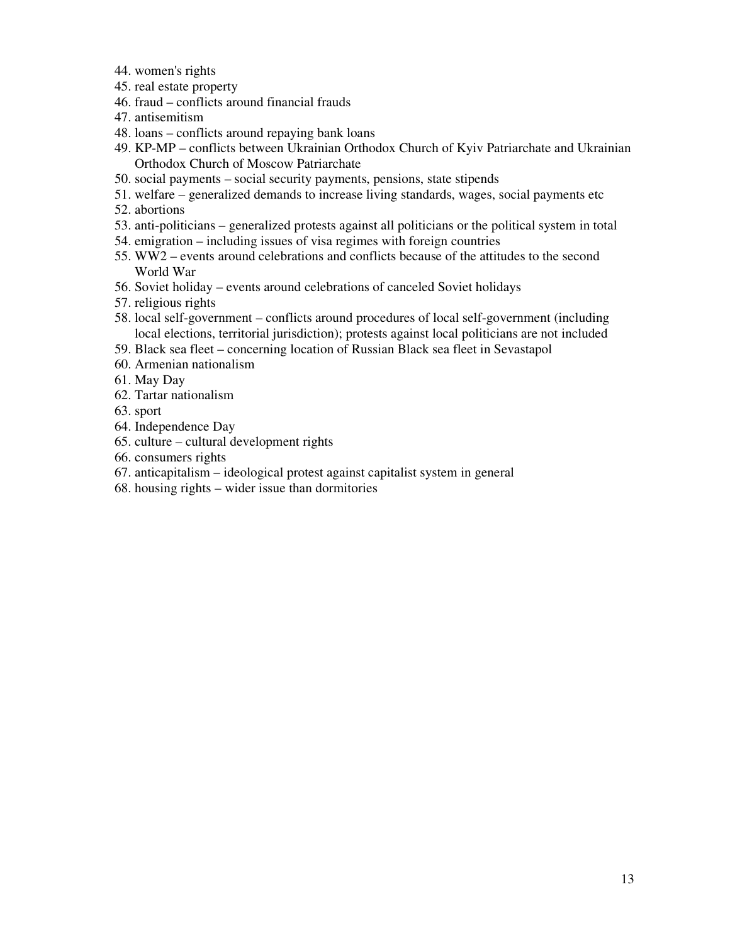- 44. women's rights
- 45. real estate property
- 46. fraud conflicts around financial frauds
- 47. antisemitism
- 48. loans conflicts around repaying bank loans
- 49. KP-MP conflicts between Ukrainian Orthodox Church of Kyiv Patriarchate and Ukrainian Orthodox Church of Moscow Patriarchate
- 50. social payments social security payments, pensions, state stipends
- 51. welfare generalized demands to increase living standards, wages, social payments etc
- 52. abortions
- 53. anti-politicians generalized protests against all politicians or the political system in total
- 54. emigration including issues of visa regimes with foreign countries
- 55. WW2 events around celebrations and conflicts because of the attitudes to the second World War
- 56. Soviet holiday events around celebrations of canceled Soviet holidays
- 57. religious rights
- 58. local self-government conflicts around procedures of local self-government (including local elections, territorial jurisdiction); protests against local politicians are not included
- 59. Black sea fleet concerning location of Russian Black sea fleet in Sevastapol
- 60. Armenian nationalism
- 61. May Day
- 62. Tartar nationalism
- 63. sport
- 64. Independence Day
- 65. culture cultural development rights
- 66. consumers rights
- 67. anticapitalism ideological protest against capitalist system in general
- 68. housing rights wider issue than dormitories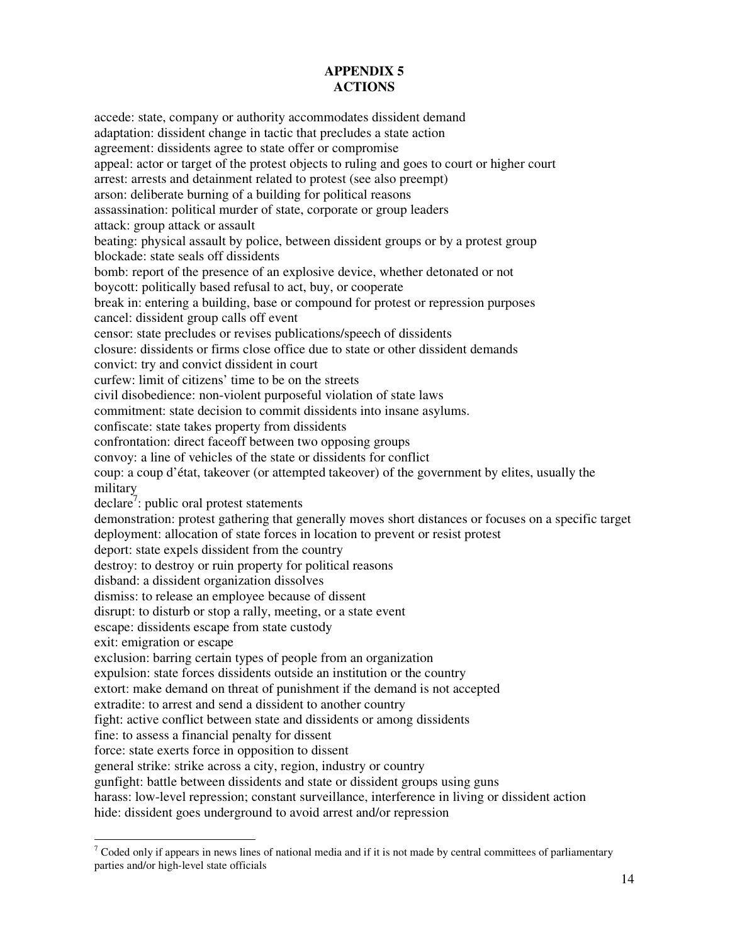## **APPENDIX 5 ACTIONS**

accede: state, company or authority accommodates dissident demand adaptation: dissident change in tactic that precludes a state action agreement: dissidents agree to state offer or compromise appeal: actor or target of the protest objects to ruling and goes to court or higher court arrest: arrests and detainment related to protest (see also preempt) arson: deliberate burning of a building for political reasons assassination: political murder of state, corporate or group leaders attack: group attack or assault beating: physical assault by police, between dissident groups or by a protest group blockade: state seals off dissidents bomb: report of the presence of an explosive device, whether detonated or not boycott: politically based refusal to act, buy, or cooperate break in: entering a building, base or compound for protest or repression purposes cancel: dissident group calls off event censor: state precludes or revises publications/speech of dissidents closure: dissidents or firms close office due to state or other dissident demands convict: try and convict dissident in court curfew: limit of citizens' time to be on the streets civil disobedience: non-violent purposeful violation of state laws commitment: state decision to commit dissidents into insane asylums. confiscate: state takes property from dissidents confrontation: direct faceoff between two opposing groups convoy: a line of vehicles of the state or dissidents for conflict coup: a coup d'état, takeover (or attempted takeover) of the government by elites, usually the military declare<sup>7</sup>: public oral protest statements demonstration: protest gathering that generally moves short distances or focuses on a specific target deployment: allocation of state forces in location to prevent or resist protest deport: state expels dissident from the country destroy: to destroy or ruin property for political reasons disband: a dissident organization dissolves dismiss: to release an employee because of dissent disrupt: to disturb or stop a rally, meeting, or a state event escape: dissidents escape from state custody exit: emigration or escape exclusion: barring certain types of people from an organization expulsion: state forces dissidents outside an institution or the country extort: make demand on threat of punishment if the demand is not accepted extradite: to arrest and send a dissident to another country fight: active conflict between state and dissidents or among dissidents fine: to assess a financial penalty for dissent force: state exerts force in opposition to dissent general strike: strike across a city, region, industry or country gunfight: battle between dissidents and state or dissident groups using guns harass: low-level repression; constant surveillance, interference in living or dissident action hide: dissident goes underground to avoid arrest and/or repression

 $\ddot{\phantom{a}}$ 

 $<sup>7</sup>$  Coded only if appears in news lines of national media and if it is not made by central committees of parliamentary</sup> parties and/or high-level state officials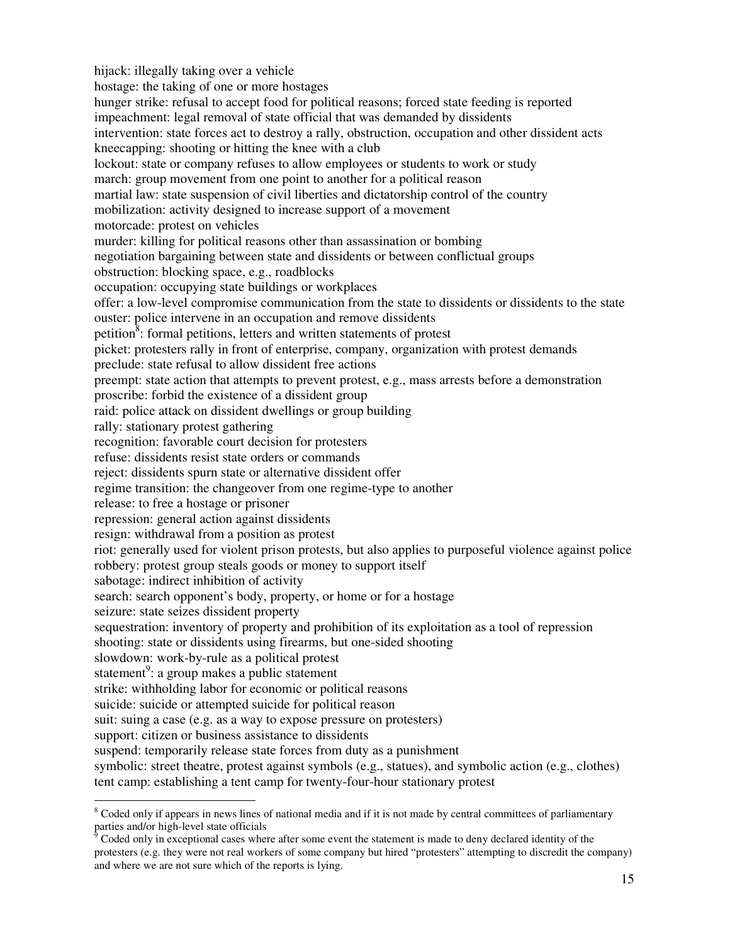hijack: illegally taking over a vehicle hostage: the taking of one or more hostages hunger strike: refusal to accept food for political reasons; forced state feeding is reported impeachment: legal removal of state official that was demanded by dissidents intervention: state forces act to destroy a rally, obstruction, occupation and other dissident acts kneecapping: shooting or hitting the knee with a club lockout: state or company refuses to allow employees or students to work or study march: group movement from one point to another for a political reason martial law: state suspension of civil liberties and dictatorship control of the country mobilization: activity designed to increase support of a movement motorcade: protest on vehicles murder: killing for political reasons other than assassination or bombing negotiation bargaining between state and dissidents or between conflictual groups obstruction: blocking space, e.g., roadblocks occupation: occupying state buildings or workplaces offer: a low-level compromise communication from the state to dissidents or dissidents to the state ouster: police intervene in an occupation and remove dissidents petition<sup>8</sup>: formal petitions, letters and written statements of protest picket: protesters rally in front of enterprise, company, organization with protest demands preclude: state refusal to allow dissident free actions preempt: state action that attempts to prevent protest, e.g., mass arrests before a demonstration proscribe: forbid the existence of a dissident group raid: police attack on dissident dwellings or group building rally: stationary protest gathering recognition: favorable court decision for protesters refuse: dissidents resist state orders or commands reject: dissidents spurn state or alternative dissident offer regime transition: the changeover from one regime-type to another release: to free a hostage or prisoner repression: general action against dissidents resign: withdrawal from a position as protest riot: generally used for violent prison protests, but also applies to purposeful violence against police robbery: protest group steals goods or money to support itself sabotage: indirect inhibition of activity search: search opponent's body, property, or home or for a hostage seizure: state seizes dissident property sequestration: inventory of property and prohibition of its exploitation as a tool of repression shooting: state or dissidents using firearms, but one-sided shooting slowdown: work-by-rule as a political protest statement<sup>9</sup>: a group makes a public statement strike: withholding labor for economic or political reasons suicide: suicide or attempted suicide for political reason suit: suing a case (e.g. as a way to expose pressure on protesters) support: citizen or business assistance to dissidents suspend: temporarily release state forces from duty as a punishment symbolic: street theatre, protest against symbols (e.g., statues), and symbolic action (e.g., clothes) tent camp: establishing a tent camp for twenty-four-hour stationary protest

 $\ddot{\phantom{a}}$ <sup>8</sup> Coded only if appears in news lines of national media and if it is not made by central committees of parliamentary parties and/or high-level state officials<br><sup>9</sup> Coded only in exceptional cases when

Coded only in exceptional cases where after some event the statement is made to deny declared identity of the protesters (e.g. they were not real workers of some company but hired "protesters" attempting to discredit the company) and where we are not sure which of the reports is lying.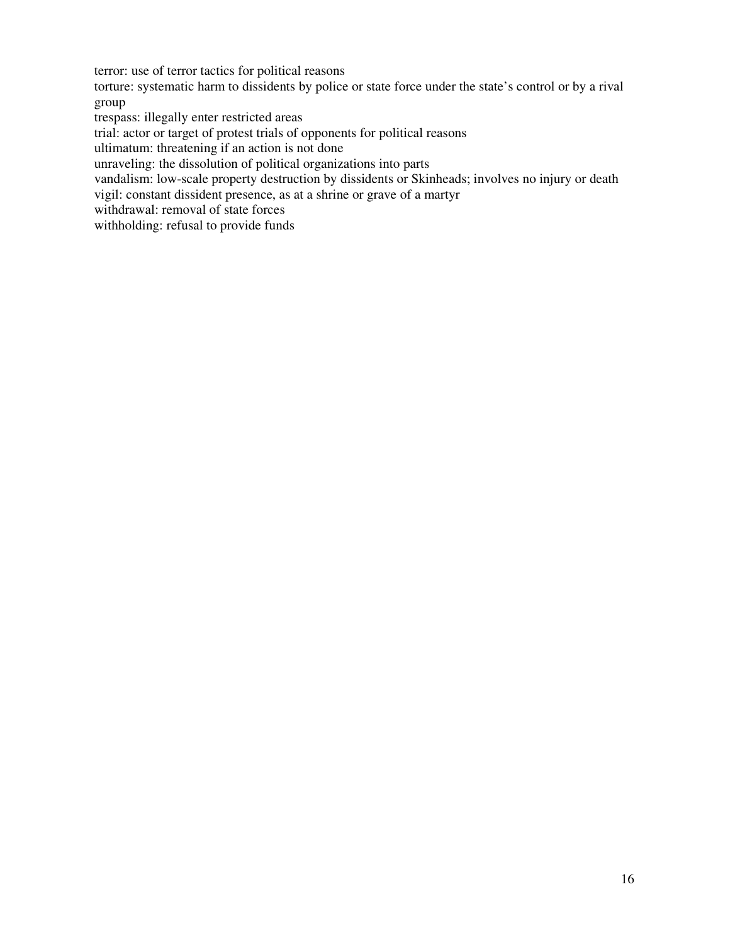terror: use of terror tactics for political reasons

torture: systematic harm to dissidents by police or state force under the state's control or by a rival group

trespass: illegally enter restricted areas

trial: actor or target of protest trials of opponents for political reasons

ultimatum: threatening if an action is not done

unraveling: the dissolution of political organizations into parts

vandalism: low-scale property destruction by dissidents or Skinheads; involves no injury or death

vigil: constant dissident presence, as at a shrine or grave of a martyr

withdrawal: removal of state forces

withholding: refusal to provide funds